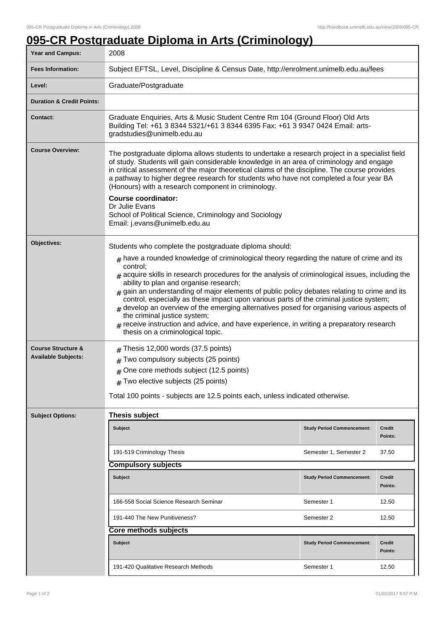## **095-CR Postgraduate Diploma in Arts (Criminology)**

| <b>Year and Campus:</b>                                     | 2008                                                                                                                                                                                                                                                                                                                                                                                                                                                                                                                                                                                                                                                                                                           |                                   |                   |  |  |
|-------------------------------------------------------------|----------------------------------------------------------------------------------------------------------------------------------------------------------------------------------------------------------------------------------------------------------------------------------------------------------------------------------------------------------------------------------------------------------------------------------------------------------------------------------------------------------------------------------------------------------------------------------------------------------------------------------------------------------------------------------------------------------------|-----------------------------------|-------------------|--|--|
| <b>Fees Information:</b>                                    | Subject EFTSL, Level, Discipline & Census Date, http://enrolment.unimelb.edu.au/fees                                                                                                                                                                                                                                                                                                                                                                                                                                                                                                                                                                                                                           |                                   |                   |  |  |
| Level:                                                      | Graduate/Postgraduate                                                                                                                                                                                                                                                                                                                                                                                                                                                                                                                                                                                                                                                                                          |                                   |                   |  |  |
| <b>Duration &amp; Credit Points:</b>                        |                                                                                                                                                                                                                                                                                                                                                                                                                                                                                                                                                                                                                                                                                                                |                                   |                   |  |  |
| <b>Contact:</b>                                             | Graduate Enquiries, Arts & Music Student Centre Rm 104 (Ground Floor) Old Arts<br>Building Tel: +61 3 8344 5321/+61 3 8344 6395 Fax: +61 3 9347 0424 Email: arts-<br>gradstudies@unimelb.edu.au                                                                                                                                                                                                                                                                                                                                                                                                                                                                                                                |                                   |                   |  |  |
| <b>Course Overview:</b>                                     | The postgraduate diploma allows students to undertake a research project in a specialist field<br>of study. Students will gain considerable knowledge in an area of criminology and engage<br>in critical assessment of the major theoretical claims of the discipline. The course provides<br>a pathway to higher degree research for students who have not completed a four year BA<br>(Honours) with a research component in criminology.<br><b>Course coordinator:</b><br>Dr Julie Evans<br>School of Political Science, Criminology and Sociology<br>Email: j.evans@unimelb.edu.au                                                                                                                        |                                   |                   |  |  |
| Objectives:                                                 | Students who complete the postgraduate diploma should:                                                                                                                                                                                                                                                                                                                                                                                                                                                                                                                                                                                                                                                         |                                   |                   |  |  |
|                                                             | $*$ have a rounded knowledge of criminological theory regarding the nature of crime and its<br>control:<br>$_{\#}$ acquire skills in research procedures for the analysis of criminological issues, including the<br>ability to plan and organise research;<br>gain an understanding of major elements of public policy debates relating to crime and its<br>control, especially as these impact upon various parts of the criminal justice system;<br>develop an overview of the emerging alternatives posed for organising various aspects of<br>the criminal justice system;<br>receive instruction and advice, and have experience, in writing a preparatory research<br>thesis on a criminological topic. |                                   |                   |  |  |
| <b>Course Structure &amp;</b><br><b>Available Subjects:</b> | Thesis 12,000 words (37.5 points)<br>Two compulsory subjects (25 points)<br>#<br>$#$ One core methods subject (12.5 points)<br>$#$ Two elective subjects (25 points)<br>Total 100 points - subjects are 12.5 points each, unless indicated otherwise.                                                                                                                                                                                                                                                                                                                                                                                                                                                          |                                   |                   |  |  |
| <b>Subject Options:</b>                                     | Thesis subject                                                                                                                                                                                                                                                                                                                                                                                                                                                                                                                                                                                                                                                                                                 |                                   |                   |  |  |
|                                                             | <b>Subject</b>                                                                                                                                                                                                                                                                                                                                                                                                                                                                                                                                                                                                                                                                                                 | <b>Study Period Commencement:</b> | Credit<br>Points: |  |  |
|                                                             | 191-519 Criminology Thesis                                                                                                                                                                                                                                                                                                                                                                                                                                                                                                                                                                                                                                                                                     | Semester 1, Semester 2            | 37.50             |  |  |
|                                                             | <b>Compulsory subjects</b>                                                                                                                                                                                                                                                                                                                                                                                                                                                                                                                                                                                                                                                                                     |                                   |                   |  |  |
|                                                             | <b>Subject</b>                                                                                                                                                                                                                                                                                                                                                                                                                                                                                                                                                                                                                                                                                                 | <b>Study Period Commencement:</b> | Credit<br>Points: |  |  |
|                                                             | 166-558 Social Science Research Seminar                                                                                                                                                                                                                                                                                                                                                                                                                                                                                                                                                                                                                                                                        | Semester 1                        | 12.50             |  |  |
|                                                             | 191-440 The New Punitiveness?                                                                                                                                                                                                                                                                                                                                                                                                                                                                                                                                                                                                                                                                                  | Semester 2                        | 12.50             |  |  |
|                                                             | Core methods subjects                                                                                                                                                                                                                                                                                                                                                                                                                                                                                                                                                                                                                                                                                          |                                   |                   |  |  |
|                                                             | <b>Subject</b>                                                                                                                                                                                                                                                                                                                                                                                                                                                                                                                                                                                                                                                                                                 | <b>Study Period Commencement:</b> | Credit<br>Points: |  |  |
|                                                             | 191-420 Qualitative Research Methods                                                                                                                                                                                                                                                                                                                                                                                                                                                                                                                                                                                                                                                                           | Semester 1                        | 12.50             |  |  |